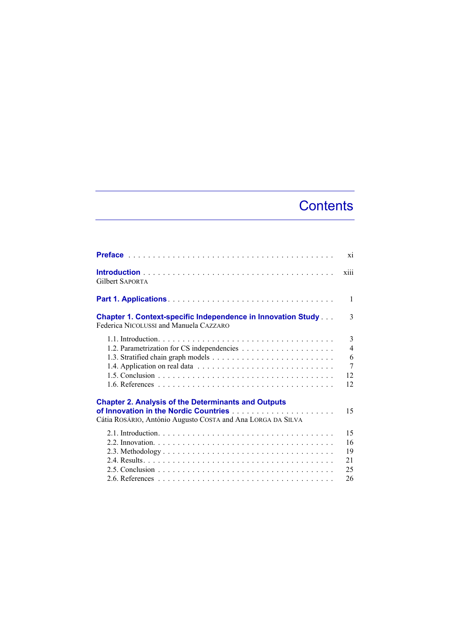## **Contents**

|                                                                                                                           | X1             |
|---------------------------------------------------------------------------------------------------------------------------|----------------|
| <b>Gilbert SAPORTA</b>                                                                                                    | X111           |
|                                                                                                                           | 1              |
| <b>Chapter 1. Context-specific Independence in Innovation Study</b><br>Federica NICOLUSSI and Manuela CAZZARO             | 3              |
|                                                                                                                           | 3              |
|                                                                                                                           | $\overline{4}$ |
|                                                                                                                           | 6              |
|                                                                                                                           | $\overline{7}$ |
|                                                                                                                           | 12             |
|                                                                                                                           | 12             |
| <b>Chapter 2. Analysis of the Determinants and Outputs</b><br>Cátia ROSÁRIO, António Augusto COSTA and Ana LORGA DA SILVA | 15             |
|                                                                                                                           | 15             |
|                                                                                                                           | 16             |
|                                                                                                                           | 19             |
|                                                                                                                           | 21             |
|                                                                                                                           | 25             |
|                                                                                                                           | 26             |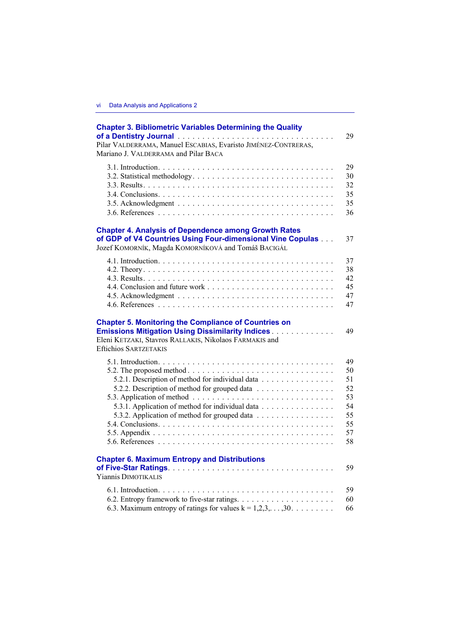| <b>Chapter 3. Bibliometric Variables Determining the Quality</b><br>Pilar VALDERRAMA, Manuel ESCABIAS, Evaristo JIMÉNEZ-CONTRERAS,<br>Mariano J. VALDERRAMA and Pilar BACA                                                              | 29 |
|-----------------------------------------------------------------------------------------------------------------------------------------------------------------------------------------------------------------------------------------|----|
|                                                                                                                                                                                                                                         | 29 |
|                                                                                                                                                                                                                                         | 30 |
|                                                                                                                                                                                                                                         | 32 |
|                                                                                                                                                                                                                                         | 35 |
|                                                                                                                                                                                                                                         | 35 |
|                                                                                                                                                                                                                                         | 36 |
| <b>Chapter 4. Analysis of Dependence among Growth Rates</b><br>of GDP of V4 Countries Using Four-dimensional Vine Copulas<br>Jozef KOMORNÍK, Magda KOMORNÍKOVÁ and Tomáš BACIGÁL                                                        | 37 |
|                                                                                                                                                                                                                                         | 37 |
|                                                                                                                                                                                                                                         | 38 |
|                                                                                                                                                                                                                                         | 42 |
|                                                                                                                                                                                                                                         | 45 |
|                                                                                                                                                                                                                                         | 47 |
|                                                                                                                                                                                                                                         | 47 |
| <b>Chapter 5. Monitoring the Compliance of Countries on</b><br><b>Emissions Mitigation Using Dissimilarity Indices [19] Linux Linux Linux</b><br>Eleni KETZAKI, Stavros RALLAKIS, Nikolaos FARMAKIS and<br><b>Eftichios SARTZETAKIS</b> | 49 |
|                                                                                                                                                                                                                                         | 49 |
| 5.2. The proposed method $\ldots \ldots \ldots \ldots \ldots \ldots \ldots \ldots \ldots \ldots$                                                                                                                                        | 50 |
| 5.2.1. Description of method for individual data                                                                                                                                                                                        | 51 |
| 5.2.2. Description of method for grouped data                                                                                                                                                                                           | 52 |
|                                                                                                                                                                                                                                         | 53 |
| 5.3.1. Application of method for individual data                                                                                                                                                                                        | 54 |
| 5.3.2. Application of method for grouped data                                                                                                                                                                                           | 55 |
|                                                                                                                                                                                                                                         | 55 |
|                                                                                                                                                                                                                                         | 57 |
|                                                                                                                                                                                                                                         | 58 |
| <b>Chapter 6. Maximum Entropy and Distributions</b><br>Yiannis DIMOTIKALIS                                                                                                                                                              | 59 |
|                                                                                                                                                                                                                                         | 59 |
|                                                                                                                                                                                                                                         | 60 |
| 6.3. Maximum entropy of ratings for values $k = 1, 2, 3, \ldots, 30, \ldots, \ldots$                                                                                                                                                    | 66 |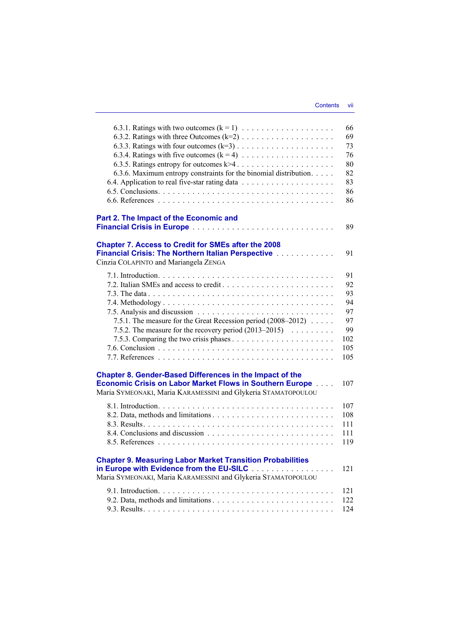|                                                                       | 66  |
|-----------------------------------------------------------------------|-----|
|                                                                       | 69  |
|                                                                       | 73  |
|                                                                       | 76  |
|                                                                       | 80  |
| 6.3.6. Maximum entropy constraints for the binomial distribution.     | 82  |
|                                                                       | 83  |
|                                                                       | 86  |
|                                                                       | 86  |
|                                                                       |     |
| Part 2. The Impact of the Economic and                                |     |
|                                                                       | 89  |
| <b>Chapter 7. Access to Credit for SMEs after the 2008</b>            |     |
| Financial Crisis: The Northern Italian Perspective                    | 91  |
| Cinzia COLAPINTO and Mariangela ZENGA                                 |     |
|                                                                       |     |
|                                                                       | 91  |
|                                                                       | 92  |
|                                                                       | 93  |
|                                                                       | 94  |
|                                                                       | 97  |
| 7.5.1. The measure for the Great Recession period (2008–2012)         | 97  |
| 7.5.2. The measure for the recovery period $(2013-2015)$              | 99  |
|                                                                       | 102 |
|                                                                       | 105 |
|                                                                       | 105 |
|                                                                       |     |
| Chapter 8. Gender-Based Differences in the Impact of the              |     |
| <b>Economic Crisis on Labor Market Flows in Southern Europe [100]</b> | 107 |
| Maria SYMEONAKI, Maria KARAMESSINI and Glykeria STAMATOPOULOU         |     |
|                                                                       | 107 |
|                                                                       | 108 |
|                                                                       | 111 |
|                                                                       | 111 |
|                                                                       | 119 |
|                                                                       |     |
| <b>Chapter 9. Measuring Labor Market Transition Probabilities</b>     |     |
| in Europe with Evidence from the EU-SILC                              | 121 |
| Maria SYMEONAKI, Maria KARAMESSINI and Glykeria STAMATOPOULOU         |     |
|                                                                       | 121 |
|                                                                       | 122 |
|                                                                       | 124 |
|                                                                       |     |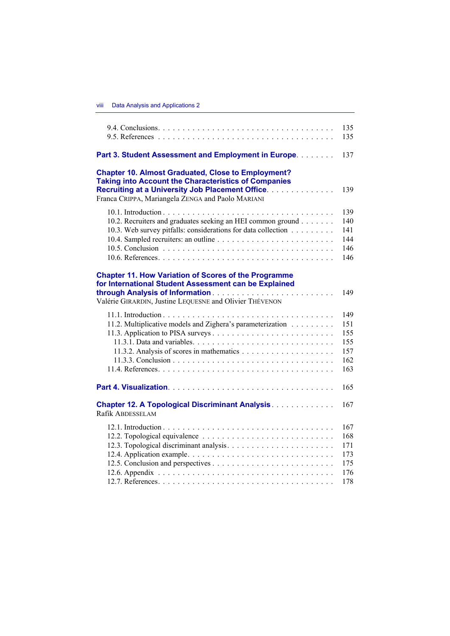|                                                                                                                                                                                                                                          | 135<br>135                                    |
|------------------------------------------------------------------------------------------------------------------------------------------------------------------------------------------------------------------------------------------|-----------------------------------------------|
| Part 3. Student Assessment and Employment in Europe.                                                                                                                                                                                     | 137                                           |
| <b>Chapter 10. Almost Graduated, Close to Employment?</b><br><b>Taking into Account the Characteristics of Companies</b><br><b>Recruiting at a University Job Placement Office.</b><br>Franca CRIPPA, Mariangela ZENGA and Paolo MARIANI | 139                                           |
| 10.2. Recruiters and graduates seeking an HEI common ground<br>10.3. Web survey pitfalls: considerations for data collection                                                                                                             | 139<br>140<br>141<br>144<br>146<br>146        |
| <b>Chapter 11. How Variation of Scores of the Programme</b><br>for International Student Assessment can be Explained<br>Valérie GIRARDIN, Justine LEQUESNE and Olivier THÉVENON                                                          | 149                                           |
| 11.2. Multiplicative models and Zighera's parameterization                                                                                                                                                                               | 149<br>151<br>155<br>155<br>157<br>162<br>163 |
|                                                                                                                                                                                                                                          | 165                                           |
| <b>Chapter 12. A Topological Discriminant Analysis Discussion Chapter 12. A Topological Discriminant Analysis Discussion Chapter</b><br>Rafik ABDESSELAM                                                                                 | 167                                           |
|                                                                                                                                                                                                                                          | 167<br>168<br>171<br>173<br>175<br>176<br>178 |